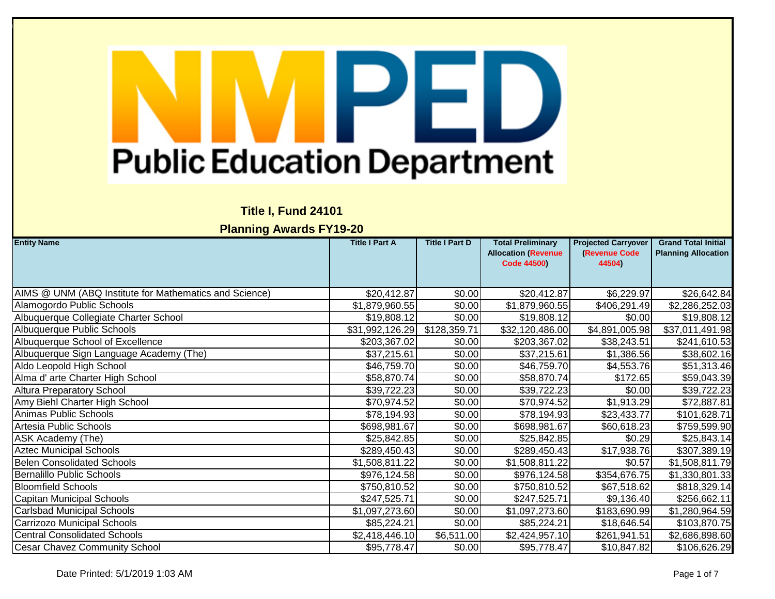## **Title I, Fund 24101**

| <b>Entity Name</b>                                     | <b>Title I Part A</b>   | <b>Title I Part D</b> | <b>Total Preliminary</b><br><b>Allocation (Revenue</b> | <b>Projected Carryover</b><br>(Revenue Code | <b>Grand Total Initial</b><br><b>Planning Allocation</b> |
|--------------------------------------------------------|-------------------------|-----------------------|--------------------------------------------------------|---------------------------------------------|----------------------------------------------------------|
|                                                        |                         |                       | <b>Code 44500)</b>                                     | 44504)                                      |                                                          |
|                                                        |                         |                       |                                                        |                                             |                                                          |
| AIMS @ UNM (ABQ Institute for Mathematics and Science) | \$20,412.87             | \$0.00                | \$20,412.87                                            | \$6,229.97                                  | \$26,642.84                                              |
| Alamogordo Public Schools                              | \$1,879,960.55          | \$0.00                | \$1,879,960.55                                         | \$406,291.49                                | \$2,286,252.03                                           |
| Albuquerque Collegiate Charter School                  | \$19,808.12             | \$0.00                | \$19,808.12                                            | \$0.00                                      | \$19,808.12                                              |
| Albuquerque Public Schools                             | \$31,992,126.29         | \$128,359.71          | \$32,120,486.00                                        | \$4,891,005.98                              | \$37,011,491.98                                          |
| Albuquerque School of Excellence                       | \$203,367.02            | \$0.00                | \$203,367.02                                           | \$38,243.51                                 | \$241,610.53                                             |
| Albuquerque Sign Language Academy (The)                | \$37,215.61             | \$0.00                | $\overline{$}37,215.61$                                | \$1,386.56                                  | \$38,602.16                                              |
| Aldo Leopold High School                               | \$46,759.70             | \$0.00                | \$46,759.70                                            | \$4,553.76                                  | \$51,313.46                                              |
| Alma d' arte Charter High School                       | \$58,870.74             | \$0.00                | \$58,870.74                                            | \$172.65                                    | \$59,043.39                                              |
| <b>Altura Preparatory School</b>                       | \$39,722.23             | \$0.00                | \$39,722.23                                            | \$0.00                                      | \$39,722.23                                              |
| Amy Biehl Charter High School                          | \$70,974.52             | \$0.00                | \$70,974.52                                            | \$1,913.29                                  | \$72,887.81                                              |
| <b>Animas Public Schools</b>                           | $\overline{$}78,194.93$ | \$0.00                | $\overline{$}78,194.93$                                | \$23,433.77                                 | \$101,628.71                                             |
| Artesia Public Schools                                 | \$698,981.67            | \$0.00                | \$698,981.67                                           | \$60,618.23                                 | \$759,599.90                                             |
| ASK Academy (The)                                      | \$25,842.85             | \$0.00                | \$25,842.85                                            | \$0.29                                      | \$25,843.14                                              |
| <b>Aztec Municipal Schools</b>                         | \$289,450.43            | \$0.00                | \$289,450.43                                           | \$17,938.76                                 | \$307,389.19                                             |
| <b>Belen Consolidated Schools</b>                      | \$1,508,811.22          | \$0.00                | \$1,508,811.22                                         | \$0.57                                      | \$1,508,811.79                                           |
| Bernalillo Public Schools                              | \$976,124.58            | \$0.00                | \$976,124.58                                           | \$354,676.75                                | \$1,330,801.33                                           |
| <b>Bloomfield Schools</b>                              | \$750,810.52            | \$0.00                | \$750,810.52                                           | \$67,518.62                                 | \$818,329.14                                             |
| Capitan Municipal Schools                              | \$247,525.71            | \$0.00                | \$247,525.71                                           | \$9,136.40                                  | \$256,662.11                                             |
| Carlsbad Municipal Schools                             | \$1,097,273.60          | \$0.00                | \$1,097,273.60                                         | \$183,690.99                                | \$1,280,964.59                                           |
| Carrizozo Municipal Schools                            | \$85,224.21             | \$0.00                | \$85,224.21                                            | \$18,646.54                                 | \$103,870.75                                             |
| <b>Central Consolidated Schools</b>                    | \$2,418,446.10          | \$6,511.00            | \$2,424,957.10                                         | \$261,941.51                                | \$2,686,898.60                                           |
| <b>Cesar Chavez Community School</b>                   | \$95,778.47             | \$0.00                | \$95,778.47                                            | \$10,847.82                                 | \$106,626.29                                             |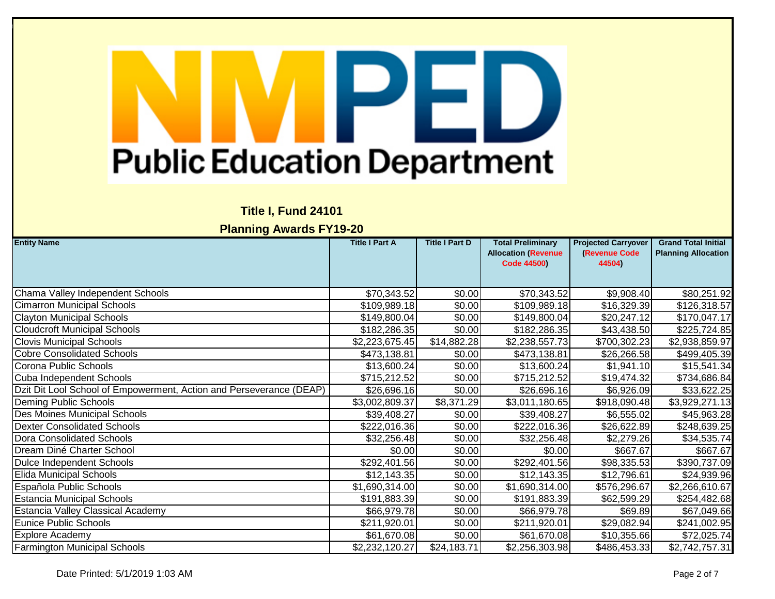## **Title I, Fund 24101**

| <b>Entity Name</b>                                                  | <b>Title I Part A</b> | <b>Title I Part D</b> | <b>Total Preliminary</b>   | <b>Projected Carryover</b> | <b>Grand Total Initial</b> |
|---------------------------------------------------------------------|-----------------------|-----------------------|----------------------------|----------------------------|----------------------------|
|                                                                     |                       |                       | <b>Allocation (Revenue</b> | <b>(Revenue Code</b>       | <b>Planning Allocation</b> |
|                                                                     |                       |                       | <b>Code 44500)</b>         | 44504)                     |                            |
|                                                                     |                       |                       |                            |                            |                            |
|                                                                     |                       |                       |                            |                            |                            |
| Chama Valley Independent Schools                                    | \$70,343.52           | \$0.00                | \$70,343.52                | \$9,908.40                 | \$80,251.92                |
| <b>Cimarron Municipal Schools</b>                                   | \$109,989.18          | \$0.00                | \$109,989.18               | \$16,329.39                | \$126,318.57               |
| <b>Clayton Municipal Schools</b>                                    | \$149,800.04          | \$0.00                | \$149,800.04               | \$20,247.12                | \$170,047.17               |
| <b>Cloudcroft Municipal Schools</b>                                 | \$182,286.35          | \$0.00                | \$182,286.35               | \$43,438.50                | \$225,724.85               |
| <b>Clovis Municipal Schools</b>                                     | \$2,223,675.45        | \$14,882.28           | \$2,238,557.73             | \$700,302.23               | \$2,938,859.97             |
| <b>Cobre Consolidated Schools</b>                                   | \$473,138.81          | \$0.00                | \$473,138.81               | \$26,266.58                | \$499,405.39               |
| Corona Public Schools                                               | \$13,600.24           | \$0.00                | \$13,600.24                | \$1,941.10                 | \$15,541.34                |
| Cuba Independent Schools                                            | \$715,212.52          | \$0.00                | \$715,212.52               | \$19,474.32                | \$734,686.84               |
| Dzit Dit Lool School of Empowerment, Action and Perseverance (DEAP) | \$26,696.16           | \$0.00                | \$26,696.16                | \$6,926.09                 | \$33,622.25                |
| Deming Public Schools                                               | \$3,002,809.37        | \$8,371.29            | \$3,011,180.65             | \$918,090.48               | \$3,929,271.13             |
| Des Moines Municipal Schools                                        | \$39,408.27           | \$0.00                | \$39,408.27                | \$6,555.02                 | \$45,963.28                |
| <b>Dexter Consolidated Schools</b>                                  | \$222,016.36          | \$0.00                | \$222,016.36               | \$26,622.89                | \$248,639.25               |
| Dora Consolidated Schools                                           | \$32,256.48           | \$0.00                | \$32,256.48                | \$2,279.26                 | \$34,535.74                |
| Dream Diné Charter School                                           | \$0.00                | \$0.00                | \$0.00                     | \$667.67                   | \$667.67                   |
| Dulce Independent Schools                                           | \$292,401.56          | \$0.00                | \$292,401.56               | \$98,335.53                | \$390,737.09               |
| <b>Elida Municipal Schools</b>                                      | \$12,143.35           | \$0.00                | \$12,143.35                | \$12,796.61                | \$24,939.96                |
| Española Public Schools                                             | \$1,690,314.00        | \$0.00                | \$1,690,314.00             | \$576,296.67               | \$2,266,610.67             |
| <b>Estancia Municipal Schools</b>                                   | \$191,883.39          | \$0.00                | \$191,883.39               | \$62,599.29                | \$254,482.68               |
| <b>Estancia Valley Classical Academy</b>                            | \$66,979.78           | \$0.00                | \$66,979.78                | \$69.89                    | \$67,049.66                |
| Eunice Public Schools                                               | \$211,920.01          | \$0.00                | \$211,920.01               | \$29,082.94                | \$241,002.95               |
| <b>Explore Academy</b>                                              | \$61,670.08           | \$0.00                | \$61,670.08                | \$10,355.66                | \$72,025.74                |
| <b>Farmington Municipal Schools</b>                                 | \$2,232,120.27        | \$24,183.71           | \$2,256,303.98             | \$486,453.33               | \$2,742,757.31             |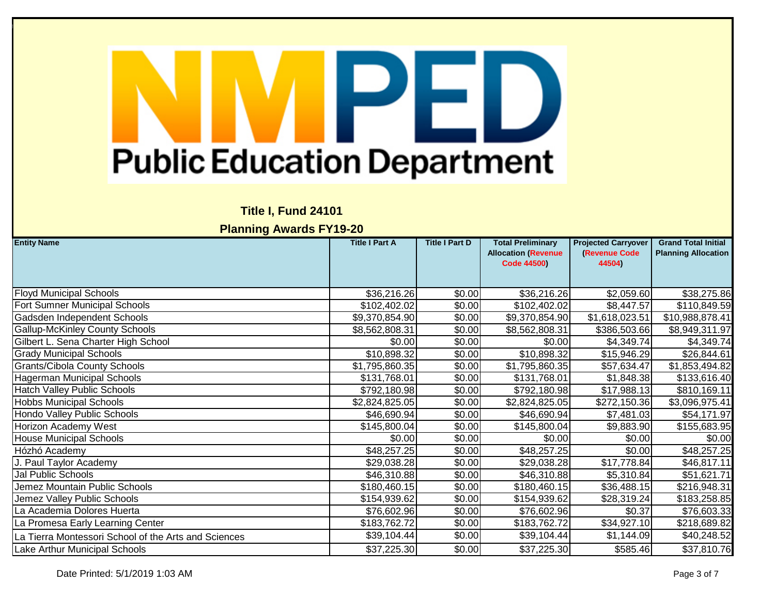### **Title I, Fund 24101**

| <b>Entity Name</b>                                   | <b>Title I Part A</b> | <b>Title I Part D</b> | <b>Total Preliminary</b>   | <b>Projected Carryover</b> | <b>Grand Total Initial</b> |
|------------------------------------------------------|-----------------------|-----------------------|----------------------------|----------------------------|----------------------------|
|                                                      |                       |                       | <b>Allocation (Revenue</b> | (Revenue Code              | <b>Planning Allocation</b> |
|                                                      |                       |                       | <b>Code 44500)</b>         | 44504)                     |                            |
|                                                      |                       |                       |                            |                            |                            |
| <b>Floyd Municipal Schools</b>                       | \$36,216.26           | \$0.00                | \$36,216.26                | \$2,059.60                 | \$38,275.86                |
| Fort Sumner Municipal Schools                        | \$102,402.02          | \$0.00                | \$102,402.02               | \$8,447.57                 | \$110,849.59               |
| Gadsden Independent Schools                          | \$9,370,854.90        | \$0.00                | \$9,370,854.90             | \$1,618,023.51             | \$10,988,878.41            |
| <b>Gallup-McKinley County Schools</b>                | \$8,562,808.31        | \$0.00                | \$8,562,808.31             | \$386,503.66               | \$8,949,311.97             |
| Gilbert L. Sena Charter High School                  | \$0.00                | \$0.00                | \$0.00                     | \$4,349.74                 | \$4,349.74                 |
| <b>Grady Municipal Schools</b>                       | \$10,898.32           | \$0.00                | \$10,898.32                | \$15,946.29                | \$26,844.61                |
| <b>Grants/Cibola County Schools</b>                  | \$1,795,860.35        | \$0.00                | \$1,795,860.35             | \$57,634.47                | \$1,853,494.82             |
| <b>Hagerman Municipal Schools</b>                    | \$131,768.01          | \$0.00                | \$131,768.01               | \$1,848.38                 | \$133,616.40               |
| <b>Hatch Valley Public Schools</b>                   | \$792,180.98          | \$0.00                | \$792,180.98               | \$17,988.13                | \$810,169.11               |
| <b>Hobbs Municipal Schools</b>                       | \$2,824,825.05        | \$0.00                | \$2,824,825.05             | \$272,150.36               | \$3,096,975.41             |
| <b>Hondo Valley Public Schools</b>                   | \$46,690.94           | $\overline{$0.00}$    | \$46,690.94                | \$7,481.03                 | \$54,171.97                |
| <b>Horizon Academy West</b>                          | \$145,800.04          | \$0.00                | \$145,800.04               | \$9,883.90                 | \$155,683.95               |
| <b>House Municipal Schools</b>                       | \$0.00                | \$0.00                | \$0.00                     | \$0.00                     | \$0.00                     |
| Hózhó Academy                                        | \$48,257.25           | \$0.00                | \$48,257.25                | \$0.00                     | \$48,257.25                |
| J. Paul Taylor Academy                               | \$29,038.28           | \$0.00                | \$29,038.28                | \$17,778.84                | \$46,817.11                |
| Jal Public Schools                                   | \$46,310.88           | \$0.00                | \$46,310.88                | \$5,310.84                 | \$51,621.71                |
| Jemez Mountain Public Schools                        | \$180,460.15          | \$0.00                | \$180,460.15               | \$36,488.15                | \$216,948.31               |
| Jemez Valley Public Schools                          | \$154,939.62          | \$0.00                | \$154,939.62               | \$28,319.24                | \$183,258.85               |
| La Academia Dolores Huerta                           | \$76,602.96           | \$0.00                | \$76,602.96                | \$0.37                     | \$76,603.33                |
| La Promesa Early Learning Center                     | \$183,762.72          | \$0.00                | \$183,762.72               | \$34,927.10                | \$218,689.82               |
| La Tierra Montessori School of the Arts and Sciences | \$39,104.44           | \$0.00                | \$39,104.44                | \$1,144.09                 | \$40,248.52                |
| Lake Arthur Municipal Schools                        | \$37,225.30           | \$0.00                | \$37,225.30                | \$585.46                   | \$37,810.76                |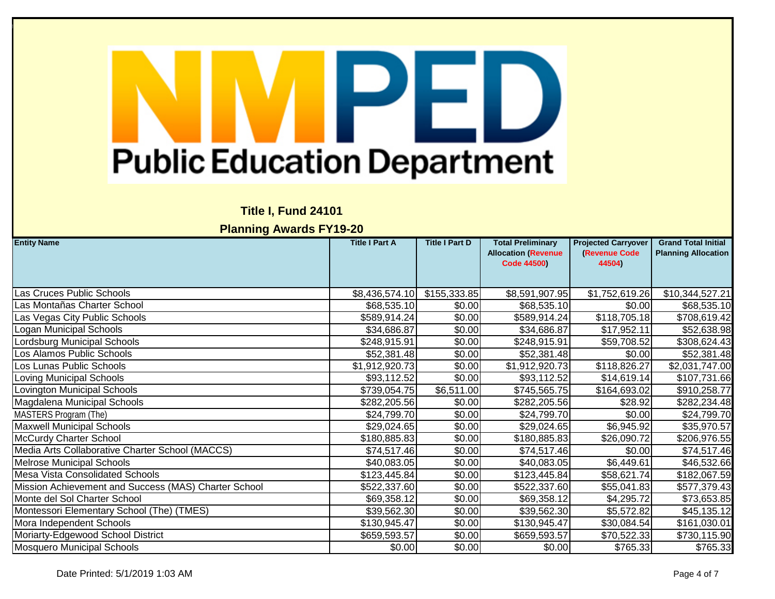### **Title I, Fund 24101**

| <b>Entity Name</b>                                   | <b>Title I Part A</b> | <b>Title I Part D</b> | <b>Total Preliminary</b>   | <b>Projected Carryover</b> | <b>Grand Total Initial</b> |
|------------------------------------------------------|-----------------------|-----------------------|----------------------------|----------------------------|----------------------------|
|                                                      |                       |                       | <b>Allocation (Revenue</b> | (Revenue Code              | <b>Planning Allocation</b> |
|                                                      |                       |                       | <b>Code 44500)</b>         | 44504)                     |                            |
|                                                      |                       |                       |                            |                            |                            |
| Las Cruces Public Schools                            | \$8,436,574.10        | \$155,333.85          | \$8,591,907.95             | \$1,752,619.26             | \$10,344,527.21            |
| Las Montañas Charter School                          | \$68,535.10           | \$0.00                | \$68,535.10                | \$0.00                     | \$68,535.10                |
| Las Vegas City Public Schools                        | \$589,914.24          | \$0.00                | \$589,914.24               | \$118,705.18               | \$708,619.42               |
| Logan Municipal Schools                              | \$34,686.87           | \$0.00                | \$34,686.87                | \$17,952.11                | \$52,638.98                |
| ordsburg Municipal Schools                           | \$248,915.91          | \$0.00                | \$248,915.91               | \$59,708.52                | \$308,624.43               |
| Los Alamos Public Schools                            | \$52,381.48           | \$0.00                | \$52,381.48                | \$0.00                     | \$52,381.48                |
| Los Lunas Public Schools                             | \$1,912,920.73        | \$0.00                | \$1,912,920.73             | \$118,826.27               | \$2,031,747.00             |
| _oving Municipal Schools                             | \$93,112.52           | \$0.00                | \$93,112.52                | \$14,619.14                | \$107,731.66               |
| Lovington Municipal Schools                          | \$739,054.75          | \$6,511.00            | \$745,565.75               | \$164,693.02               | \$910,258.77               |
| Magdalena Municipal Schools                          | \$282,205.56          | \$0.00                | \$282,205.56               | \$28.92                    | \$282,234.48               |
| MASTERS Program (The)                                | \$24,799.70           | \$0.00                | \$24,799.70                | \$0.00                     | \$24,799.70                |
| <b>Maxwell Municipal Schools</b>                     | \$29,024.65           | \$0.00                | \$29,024.65                | \$6,945.92                 | \$35,970.57                |
| McCurdy Charter School                               | \$180,885.83          | \$0.00                | \$180,885.83               | \$26,090.72                | \$206,976.55               |
| Media Arts Collaborative Charter School (MACCS)      | \$74,517.46           | \$0.00                | \$74,517.46                | \$0.00                     | \$74,517.46                |
| <b>Melrose Municipal Schools</b>                     | \$40,083.05           | \$0.00                | \$40,083.05                | \$6,449.61                 | \$46,532.66                |
| <b>Mesa Vista Consolidated Schools</b>               | \$123,445.84          | \$0.00                | \$123,445.84               | \$58,621.74                | \$182,067.59               |
| Mission Achievement and Success (MAS) Charter School | \$522,337.60          | \$0.00                | \$522,337.60               | \$55,041.83                | \$577,379.43               |
| Monte del Sol Charter School                         | \$69,358.12           | \$0.00                | \$69,358.12                | \$4,295.72                 | \$73,653.85                |
| Montessori Elementary School (The) (TMES)            | \$39,562.30           | \$0.00                | \$39,562.30                | \$5,572.82                 | \$45,135.12                |
| Mora Independent Schools                             | \$130,945.47          | \$0.00                | \$130,945.47               | \$30,084.54                | \$161,030.01               |
| Moriarty-Edgewood School District                    | \$659,593.57          | \$0.00                | \$659,593.57               | \$70,522.33                | \$730,115.90               |
| <b>Mosquero Municipal Schools</b>                    | \$0.00                | \$0.00                | \$0.00                     | \$765.33                   | \$765.33                   |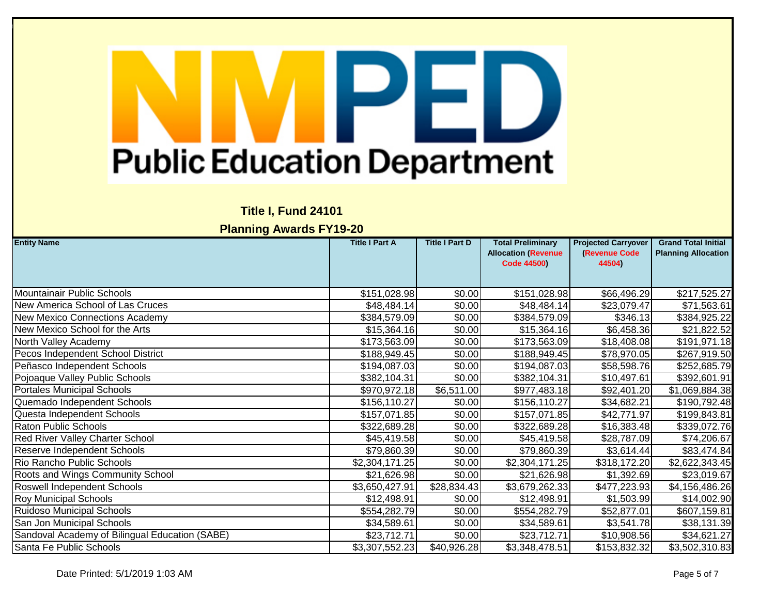### **Title I, Fund 24101**

| <b>Entity Name</b>                             | <b>Title I Part A</b> | <b>Title I Part D</b> | <b>Total Preliminary</b>                         | <b>Projected Carryover</b>     | <b>Grand Total Initial</b> |
|------------------------------------------------|-----------------------|-----------------------|--------------------------------------------------|--------------------------------|----------------------------|
|                                                |                       |                       | <b>Allocation (Revenue</b><br><b>Code 44500)</b> | <b>(Revenue Code</b><br>44504) | <b>Planning Allocation</b> |
|                                                |                       |                       |                                                  |                                |                            |
|                                                |                       |                       |                                                  |                                |                            |
| Mountainair Public Schools                     | \$151,028.98          | \$0.00                | \$151,028.98                                     | \$66,496.29                    | \$217,525.27               |
| New America School of Las Cruces               | \$48,484.14           | \$0.00                | \$48,484.14                                      | \$23,079.47                    | \$71,563.61                |
| <b>New Mexico Connections Academy</b>          | \$384,579.09          | \$0.00                | \$384,579.09                                     | \$346.13                       | \$384,925.22               |
| New Mexico School for the Arts                 | \$15,364.16           | \$0.00                | \$15,364.16                                      | \$6,458.36                     | \$21,822.52                |
| North Valley Academy                           | \$173,563.09          | \$0.00                | \$173,563.09                                     | \$18,408.08                    | \$191,971.18               |
| Pecos Independent School District              | \$188,949.45          | \$0.00                | \$188,949.45                                     | \$78,970.05                    | \$267,919.50               |
| Peñasco Independent Schools                    | \$194,087.03          | \$0.00                | \$194,087.03                                     | \$58,598.76                    | \$252,685.79               |
| Pojoaque Valley Public Schools                 | \$382,104.31          | \$0.00                | \$382,104.31                                     | \$10,497.61                    | \$392,601.91               |
| <b>Portales Municipal Schools</b>              | \$970,972.18          | \$6,511.00            | \$977,483.18                                     | \$92,401.20                    | \$1,069,884.38             |
| Quemado Independent Schools                    | \$156,110.27          | \$0.00                | \$156,110.27                                     | \$34,682.21                    | \$190,792.48               |
| Questa Independent Schools                     | \$157,071.85          | \$0.00                | \$157,071.85                                     | \$42,771.97                    | \$199,843.81               |
| <b>Raton Public Schools</b>                    | \$322,689.28          | \$0.00                | \$322,689.28                                     | \$16,383.48                    | \$339,072.76               |
| Red River Valley Charter School                | \$45,419.58           | \$0.00                | \$45,419.58                                      | \$28,787.09                    | \$74,206.67                |
| Reserve Independent Schools                    | \$79,860.39           | \$0.00                | \$79,860.39                                      | \$3,614.44                     | \$83,474.84                |
| Rio Rancho Public Schools                      | \$2,304,171.25        | \$0.00                | \$2,304,171.25                                   | \$318,172.20                   | \$2,622,343.45             |
| Roots and Wings Community School               | \$21,626.98           | \$0.00                | \$21,626.98                                      | \$1,392.69                     | \$23,019.67                |
| Roswell Independent Schools                    | \$3,650,427.91        | \$28,834.43           | \$3,679,262.33                                   | \$477,223.93                   | \$4,156,486.26             |
| <b>Roy Municipal Schools</b>                   | \$12,498.91           | \$0.00                | \$12,498.91                                      | \$1,503.99                     | \$14,002.90                |
| <b>Ruidoso Municipal Schools</b>               | \$554,282.79          | \$0.00                | \$554,282.79                                     | \$52,877.01                    | \$607,159.81               |
| San Jon Municipal Schools                      | \$34,589.61           | \$0.00                | \$34,589.61                                      | \$3,541.78                     | \$38,131.39                |
| Sandoval Academy of Bilingual Education (SABE) | \$23,712.71           | \$0.00                | \$23,712.71                                      | \$10,908.56                    | \$34,621.27                |
| Santa Fe Public Schools                        | \$3,307,552.23        | \$40,926.28           | \$3,348,478.51                                   | \$153,832.32                   | \$3,502,310.83             |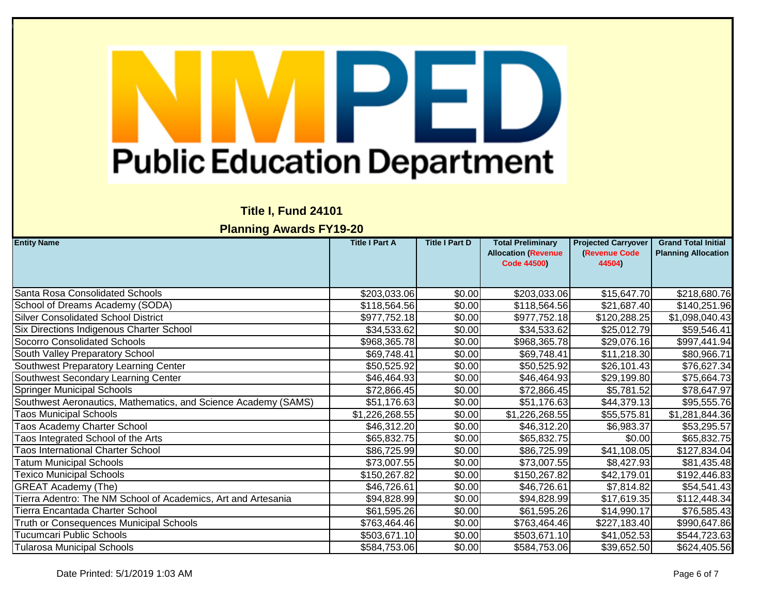### **Title I, Fund 24101**

| <b>Entity Name</b>                                             | <b>Title I Part A</b> | <b>Title I Part D</b> | <b>Total Preliminary</b>   | <b>Projected Carryover</b> | <b>Grand Total Initial</b> |
|----------------------------------------------------------------|-----------------------|-----------------------|----------------------------|----------------------------|----------------------------|
|                                                                |                       |                       | <b>Allocation (Revenue</b> | (Revenue Code              | <b>Planning Allocation</b> |
|                                                                |                       |                       | <b>Code 44500)</b>         | 44504)                     |                            |
|                                                                |                       |                       |                            |                            |                            |
|                                                                |                       |                       |                            |                            |                            |
| Santa Rosa Consolidated Schools                                | \$203,033.06          | \$0.00                | \$203,033.06               | \$15,647.70                | \$218,680.76               |
| School of Dreams Academy (SODA)                                | \$118,564.56          | \$0.00                | \$118,564.56               | \$21,687.40                | \$140,251.96               |
| <b>Silver Consolidated School District</b>                     | \$977,752.18          | \$0.00                | \$977,752.18               | \$120,288.25               | \$1,098,040.43             |
| Six Directions Indigenous Charter School                       | \$34,533.62           | \$0.00                | \$34,533.62                | \$25,012.79                | \$59,546.41                |
| Socorro Consolidated Schools                                   | \$968,365.78          | \$0.00                | \$968,365.78               | \$29,076.16                | \$997,441.94               |
| South Valley Preparatory School                                | \$69,748.41           | \$0.00                | \$69,748.41                | \$11,218.30                | \$80,966.71                |
| Southwest Preparatory Learning Center                          | \$50,525.92           | \$0.00                | \$50,525.92                | \$26,101.43                | \$76,627.34                |
| Southwest Secondary Learning Center                            | \$46,464.93           | \$0.00                | \$46,464.93                | \$29,199.80                | \$75,664.73                |
| <b>Springer Municipal Schools</b>                              | \$72,866.45           | \$0.00                | \$72,866.45                | \$5,781.52                 | \$78,647.97                |
| Southwest Aeronautics, Mathematics, and Science Academy (SAMS) | \$51,176.63           | \$0.00                | \$51,176.63                | \$44,379.13                | \$95,555.76                |
| <b>Taos Municipal Schools</b>                                  | \$1,226,268.55        | \$0.00                | \$1,226,268.55             | \$55,575.81                | \$1,281,844.36             |
| <b>Taos Academy Charter School</b>                             | \$46,312.20           | \$0.00                | \$46,312.20                | \$6,983.37                 | \$53,295.57                |
| Taos Integrated School of the Arts                             | \$65,832.75           | \$0.00                | \$65,832.75                | \$0.00                     | \$65,832.75                |
| <b>Taos International Charter School</b>                       | \$86,725.99           | \$0.00                | \$86,725.99                | \$41,108.05                | \$127,834.04               |
| <b>Tatum Municipal Schools</b>                                 | \$73,007.55           | \$0.00                | \$73,007.55                | \$8,427.93                 | \$81,435.48                |
| <b>Texico Municipal Schools</b>                                | \$150,267.82          | \$0.00                | \$150,267.82               | \$42,179.01                | \$192,446.83               |
| <b>GREAT Academy (The)</b>                                     | \$46,726.61           | \$0.00                | \$46,726.61                | \$7,814.82                 | \$54,541.43                |
| Tierra Adentro: The NM School of Academics, Art and Artesania  | \$94,828.99           | \$0.00                | \$94,828.99                | \$17,619.35                | \$112,448.34               |
| Tierra Encantada Charter School                                | \$61,595.26           | \$0.00                | \$61,595.26                | \$14,990.17                | \$76,585.43                |
| Truth or Consequences Municipal Schools                        | \$763,464.46          | \$0.00                | \$763,464.46               | \$227,183.40               | \$990,647.86               |
| <b>Tucumcari Public Schools</b>                                | \$503,671.10          | \$0.00                | \$503,671.10               | \$41,052.53                | \$544,723.63               |
| <b>Tularosa Municipal Schools</b>                              | \$584,753.06          | \$0.00                | \$584,753.06               | \$39,652.50                | \$624,405.56               |